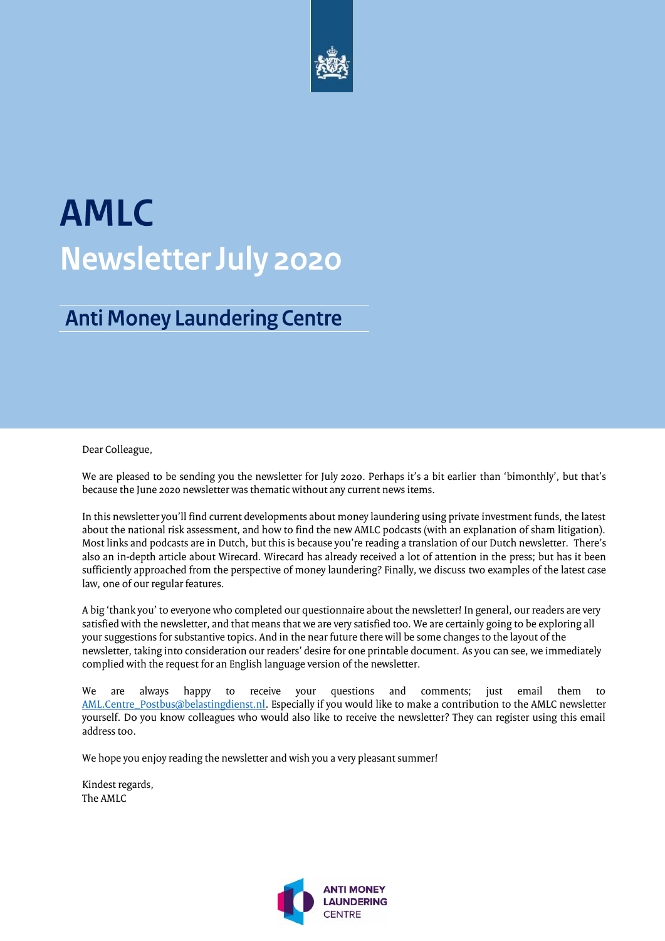

# **AMLC Newsletter July 2020**

### **Anti Money Laundering Centre**

#### Dear Colleague,

We are pleased to be sending you the newsletter for July 2020. Perhaps it's a bit earlier than 'bimonthly', but that's because the June 2020 newsletter was thematic without any current news items.

In this newsletter you'll find current developments about money laundering using private investment funds, the latest about the national risk assessment, and how to find the new AMLC podcasts (with an explanation of sham litigation). Most links and podcasts are in Dutch, but this is because you're reading a translation of our Dutch newsletter. There's also an in-depth article about Wirecard. Wirecard has already received a lot of attention in the press; but has it been sufficiently approached from the perspective of money laundering? Finally, we discuss two examples of the latest case law, one of our regular features.

A big 'thank you' to everyone who completed our questionnaire about the newsletter! In general, our readers are very satisfied with the newsletter, and that means that we are very satisfied too. We are certainly going to be exploring all your suggestions for substantive topics. And in the near future there will be some changes to the layout of the newsletter, taking into consideration our readers' desire for one printable document. As you can see, we immediately complied with the request for an English language version of the newsletter.

We are always happy to receive your questions and comments; just email them to [AML.Centre\\_Postbus@belastingdienst.nl.](mailto:AML.Centre_Postbus@belastingdienst.nl) Especially if you would like to make a contribution to the AMLC newsletter yourself. Do you know colleagues who would also like to receive the newsletter? They can register using this email address too.

We hope you enjoy reading the newsletter and wish you a very pleasant summer!

Kindest regards, The AMLC

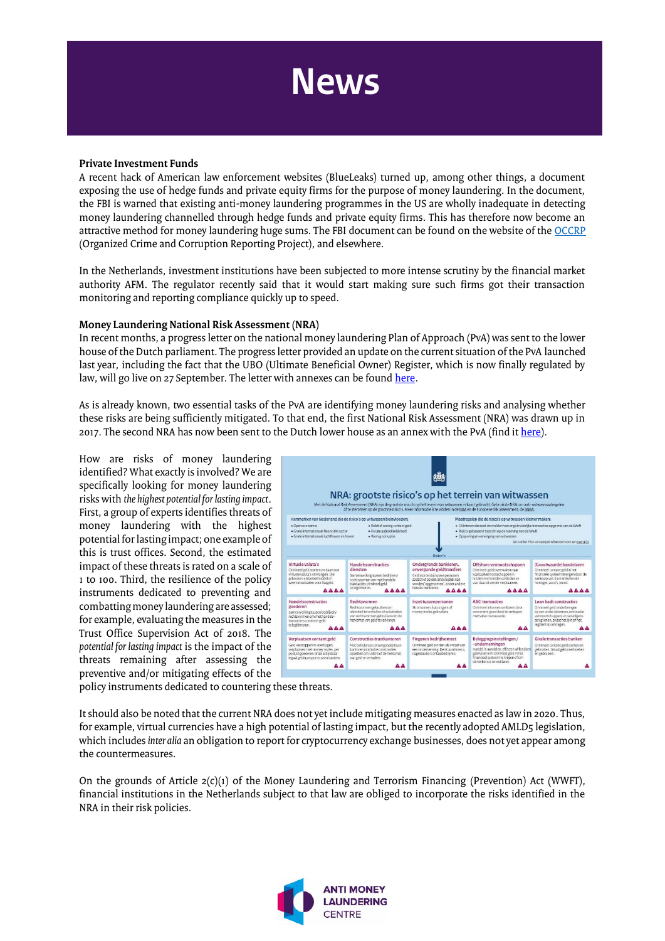# **News**

#### **Private Investment Funds**

A recent hack of American law enforcement websites (BlueLeaks) turned up, among other things, a document exposing the use of hedge funds and private equity firms for the purpose of money laundering. In the document, the FBI is warned that existing anti-money laundering programmes in the US are wholly inadequate in detecting money laundering channelled through hedge funds and private equity firms. This has therefore now become an attractive method for money laundering huge sums. The FBI document can be found on the website of th[e OCCRP](https://www.occrp.org/en/daily/12814-blueleaks-fbi-aware-large-investment-funds-enable-money-laundering) (Organized Crime and Corruption Reporting Project), and elsewhere.

In the Netherlands, investment institutions have been subjected to more intense scrutiny by the financial market authority AFM. The regulator recently said that it would start making sure such firms got their transaction monitoring and reporting compliance quickly up to speed.

#### **Money Laundering National Risk Assessment (NRA)**

In recent months, a progress letter on the national money laundering Plan of Approach (PvA) was sent to the lower house of the Dutch parliament. The progress letter provided an update on the current situation of the PvA launched last year, including the fact that the UBO (Ultimate Beneficial Owner) Register, which is now finally regulated by law, will go live on 27 September. The letter with annexes can be found here.

As is already known, two essential tasks of the PvA are identifying money laundering risks and analysing whether these risks are being sufficiently mitigated. To that end, the first National Risk Assessment (NRA) was drawn up in 2017. The second NRA has now been sent to the Dutch lower house as an annex with the PvA (find it here).

How are risks of money laundering identified? What exactly is involved? We are specifically looking for money laundering risks with *the highest potential for lasting impact*. First, a group of experts identifies threats of money laundering with the highest potential for lasting impact; one example of this is trust offices. Second, the estimated impact of these threats is rated on a scale of 1 to 100. Third, the resilience of the policy instruments dedicated to preventing and combatting money laundering are assessed; for example, evaluating the measures in the Trust Office Supervision Act of 2018. The *potential for lasting impact* is the impact of the threats remaining after assessing the preventive and/or mitigating effects of the



policy instruments dedicated to countering these threats.

It should also be noted that the current NRA does not yet include mitigating measures enacted as law in 2020. Thus, for example, virtual currencies have a high potential of lasting impact, but the recently adopted AMLD5 legislation, which includes *inter alia* an obligation to report for cryptocurrency exchange businesses, does not yet appear among the countermeasures.

On the grounds of Article  $2(c)(1)$  of the Money Laundering and Terrorism Financing (Prevention) Act (WWFT), financial institutions in the Netherlands subject to that law are obliged to incorporate the risks identified in the NRA in their risk policies.

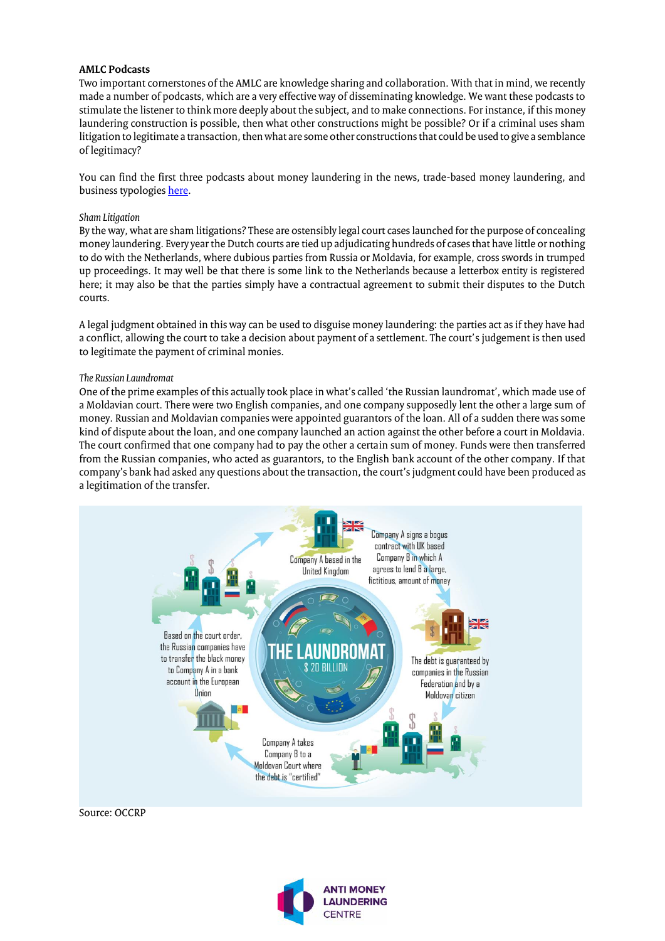#### **AMLC Podcasts**

Two important cornerstones of the AMLC are knowledge sharing and collaboration. With that in mind, we recently made a number of podcasts, which are a very effective way of disseminating knowledge. We want these podcasts to stimulate the listener to think more deeply about the subject, and to make connections. For instance, if this money laundering construction is possible, then what other constructions might be possible? Or if a criminal uses sham litigation to legitimate a transaction, then what are some other constructions that could be used to give a semblance of legitimacy?

You can find the first three podcasts about money laundering in the news, trade-based money laundering, and business typologies here.

#### *Sham Litigation*

By the way, what are sham litigations? These are ostensibly legal court cases launched for the purpose of concealing money laundering. Every year the Dutch courts are tied up adjudicating hundreds of cases that have little or nothing to do with the Netherlands, where dubious parties from Russia or Moldavia, for example, cross swords in trumped up proceedings. It may well be that there is some link to the Netherlands because a letterbox entity is registered here; it may also be that the parties simply have a contractual agreement to submit their disputes to the Dutch courts.

A legal judgment obtained in this way can be used to disguise money laundering: the parties act as if they have had a conflict, allowing the court to take a decision about payment of a settlement. The court's judgement is then used to legitimate the payment of criminal monies.

#### *The Russian Laundromat*

One of the prime examples of this actually took place in what's called 'the Russian laundromat', which made use of a Moldavian court. There were two English companies, and one company supposedly lent the other a large sum of money. Russian and Moldavian companies were appointed guarantors of the loan. All of a sudden there was some kind of dispute about the loan, and one company launched an action against the other before a court in Moldavia. The court confirmed that one company had to pay the other a certain sum of money. Funds were then transferred from the Russian companies, who acted as guarantors, to the English bank account of the other company. If that company's bank had asked any questions about the transaction, the court's judgment could have been produced as a legitimation of the transfer.



Source: OCCRP

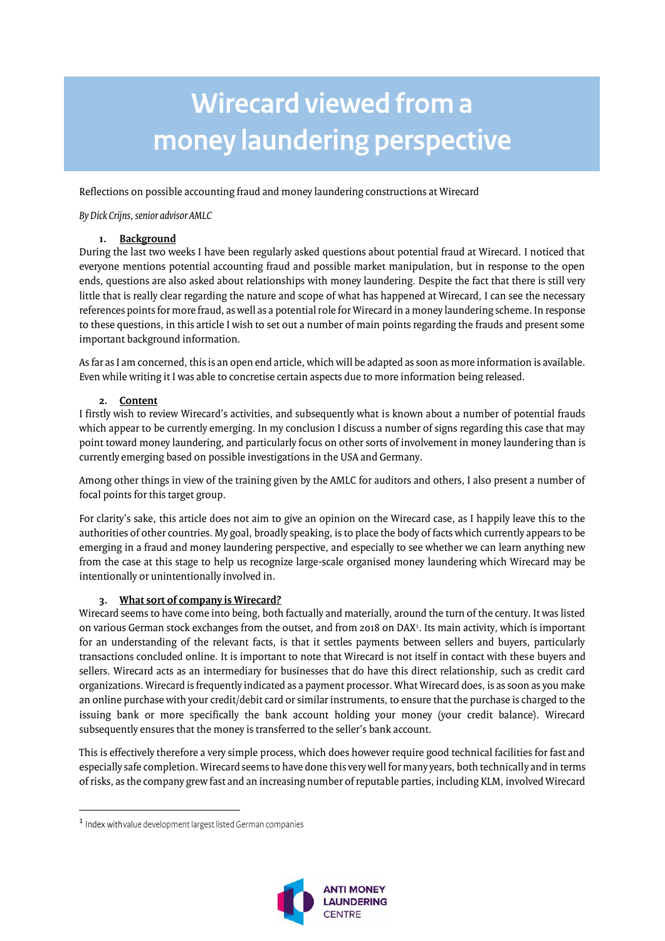## **Wirecard viewed from a** money laundering perspective

Reflections on possible accounting fraud and money laundering constructions at Wirecard

*By Dick Crijns, senior advisor AMLC*

#### **1. Background**

During the last two weeks I have been regularly asked questions about potential fraud at Wirecard. I noticed that everyone mentions potential accounting fraud and possible market manipulation, but in response to the open ends, questions are also asked about relationships with money laundering. Despite the fact that there is still very little that is really clear regarding the nature and scope of what has happened at Wirecard, I can see the necessary references points for more fraud, as well as a potential role for Wirecard in a money laundering scheme. In response to these questions, in this article I wish to set out a number of main points regarding the frauds and present some important background information.

As far as I am concerned, this is an open end article, which will be adapted as soon as more information is available. Even while writing it I was able to concretise certain aspects due to more information being released.

#### **2. Content**

I firstly wish to review Wirecard's activities, and subsequently what is known about a number of potential frauds which appear to be currently emerging. In my conclusion I discuss a number of signs regarding this case that may point toward money laundering, and particularly focus on other sorts of involvement in money laundering than is currently emerging based on possible investigations in the USA and Germany.

Among other things in view of the training given by the AMLC for auditors and others, I also present a number of focal points for this target group.

For clarity's sake, this article does not aim to give an opinion on the Wirecard case, as I happily leave this to the authorities of other countries. My goal, broadly speaking, is to place the body of facts which currently appears to be emerging in a fraud and money laundering perspective, and especially to see whether we can learn anything new from the case at this stage to help us recognize large-scale organised money laundering which Wirecard may be intentionally or unintentionally involved in.

#### **3. What sort of company is Wirecard?**

Wirecard seems to have come into being, both factually and materially, around the turn of the century. It was listed on various German stock exchanges from the outset, and from 2018 on DAX1. Its main activity, which is important for an understanding of the relevant facts, is that it settles payments between sellers and buyers, particularly transactions concluded online. It is important to note that Wirecard is not itself in contact with these buyers and sellers. Wirecard acts as an intermediary for businesses that do have this direct relationship, such as credit card organizations. Wirecard is frequently indicated as a payment processor. What Wirecard does, is as soon as you make an online purchase with your credit/debit card or similar instruments, to ensure that the purchase is charged to the issuing bank or more specifically the bank account holding your money (your credit balance). Wirecard subsequently ensures that the money is transferred to the seller's bank account.

This is effectively therefore a very simple process, which does however require good technical facilities for fast and especially safe completion. Wirecard seems to have done this very well for many years, both technically and in terms of risks, as the company grew fast and an increasing number of reputable parties, including KLM, involved Wirecard

 $\overline{\phantom{a}}$ 



<sup>&</sup>lt;sup>1</sup> Index with value development largest listed German companies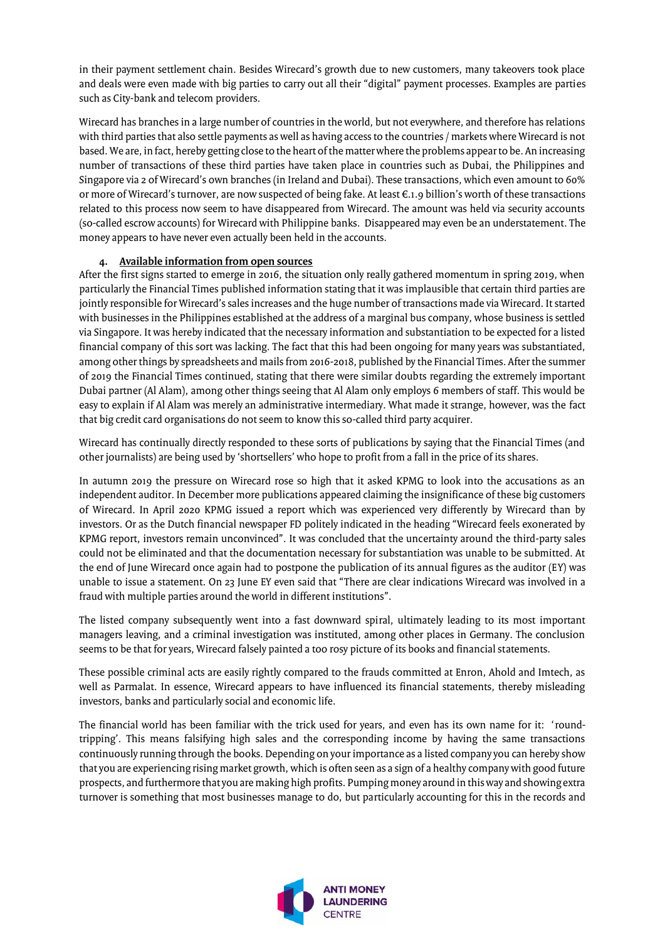in their payment settlement chain. Besides Wirecard's growth due to new customers, many takeovers took place and deals were even made with big parties to carry out all their "digital" payment processes. Examples are parties such as City-bank and telecom providers.

Wirecard has branches in a large number of countries in the world, but not everywhere, and therefore has relations with third parties that also settle payments as well as having access to the countries / markets where Wirecard is not based. We are, in fact, hereby getting close to the heart of the matter where the problems appear to be. An increasing number of transactions of these third parties have taken place in countries such as Dubai, the Philippines and Singapore via 2 of Wirecard's own branches (in Ireland and Dubai). These transactions, which even amount to 60% or more of Wirecard's turnover, are now suspected of being fake. At least €.1.9 billion's worth of these transactions related to this process now seem to have disappeared from Wirecard. The amount was held via security accounts (so-called escrow accounts) for Wirecard with Philippine banks. Disappeared may even be an understatement. The money appears to have never even actually been held in the accounts.

#### **4. Available information from open sources**

After the first signs started to emerge in 2016, the situation only really gathered momentum in spring 2019, when particularly the Financial Times published information stating that it was implausible that certain third parties are jointly responsible for Wirecard's sales increases and the huge number of transactions made via Wirecard. It started with businesses in the Philippines established at the address of a marginal bus company, whose business is settled via Singapore. It was hereby indicated that the necessary information and substantiation to be expected for a listed financial company of this sort was lacking. The fact that this had been ongoing for many years was substantiated, among other things by spreadsheets and mails from 2016-2018, published by the Financial Times. After the summer of 2019 the Financial Times continued, stating that there were similar doubts regarding the extremely important Dubai partner (Al Alam), among other things seeing that Al Alam only employs 6 members of staff. This would be easy to explain if Al Alam was merely an administrative intermediary. What made it strange, however, was the fact that big credit card organisations do not seem to know this so-called third party acquirer.

Wirecard has continually directly responded to these sorts of publications by saying that the Financial Times (and other journalists) are being used by 'shortsellers' who hope to profit from a fall in the price of its shares.

In autumn 2019 the pressure on Wirecard rose so high that it asked KPMG to look into the accusations as an independent auditor. In December more publications appeared claiming the insignificance of these big customers of Wirecard. In April 2020 KPMG issued a report which was experienced very differently by Wirecard than by investors. Or as the Dutch financial newspaper FD politely indicated in the heading "Wirecard feels exonerated by KPMG report, investors remain unconvinced". It was concluded that the uncertainty around the third-party sales could not be eliminated and that the documentation necessary for substantiation was unable to be submitted. At the end of June Wirecard once again had to postpone the publication of its annual figures as the auditor (EY) was unable to issue a statement. On 23 June EY even said that "There are clear indications Wirecard was involved in a fraud with multiple parties around the world in different institutions".

The listed company subsequently went into a fast downward spiral, ultimately leading to its most important managers leaving, and a criminal investigation was instituted, among other places in Germany. The conclusion seems to be that for years, Wirecard falsely painted a too rosy picture of its books and financial statements.

These possible criminal acts are easily rightly compared to the frauds committed at Enron, Ahold and Imtech, as well as Parmalat. In essence, Wirecard appears to have influenced its financial statements, thereby misleading investors, banks and particularly social and economic life.

The financial world has been familiar with the trick used for years, and even has its own name for it: 'roundtripping'. This means falsifying high sales and the corresponding income by having the same transactions continuously running through the books. Depending on your importance as a listed company you can hereby show that you are experiencing rising market growth, which is often seen as a sign of a healthy company with good future prospects, and furthermore that you are making high profits. Pumping money around in this way and showing extra turnover is something that most businesses manage to do, but particularly accounting for this in the records and

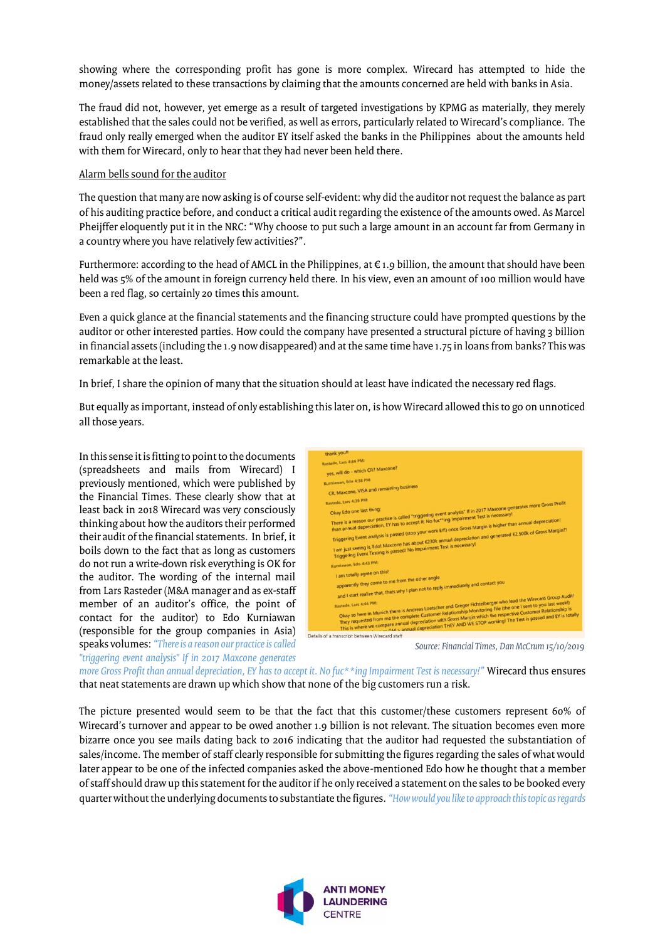showing where the corresponding profit has gone is more complex. Wirecard has attempted to hide the money/assets related to these transactions by claiming that the amounts concerned are held with banks in Asia.

The fraud did not, however, yet emerge as a result of targeted investigations by KPMG as materially, they merely established that the sales could not be verified, as well as errors, particularly related to Wirecard's compliance. The fraud only really emerged when the auditor EY itself asked the banks in the Philippines about the amounts held with them for Wirecard, only to hear that they had never been held there.

#### Alarm bells sound for the auditor

The question that many are now asking is of course self-evident: why did the auditor not request the balance as part of his auditing practice before, and conduct a critical audit regarding the existence of the amounts owed. As Marcel Pheijffer eloquently put it in the NRC: "Why choose to put such a large amount in an account far from Germany in a country where you have relatively few activities?".

Furthermore: according to the head of AMCL in the Philippines, at  $\epsilon$  1.9 billion, the amount that should have been held was 5% of the amount in foreign currency held there. In his view, even an amount of 100 million would have been a red flag, so certainly 20 times this amount.

Even a quick glance at the financial statements and the financing structure could have prompted questions by the auditor or other interested parties. How could the company have presented a structural picture of having 3 billion in financial assets (including the 1.9 now disappeared) and at the same time have 1.75 in loans from banks? This was remarkable at the least.

In brief, I share the opinion of many that the situation should at least have indicated the necessary red flags.

But equally as important, instead of only establishing this later on, is how Wirecard allowed this to go on unnoticed all those years.

In this sense it is fitting to point to the documents (spreadsheets and mails from Wirecard) I previously mentioned, which were published by the Financial Times. These clearly show that at least back in 2018 Wirecard was very consciously thinking about how the auditors their performed their audit of the financial statements. In brief, it boils down to the fact that as long as customers do not run a write-down risk everything is OK for the auditor. The wording of the internal mail from Lars Rasteder (M&A manager and as ex-staff member of an auditor's office, the point of contact for the auditor) to Edo Kurniawan (responsible for the group companies in Asia) speaks volumes: *"There is a reason our practice is called "triggering event analysis" If in 2017 Maxcone generates* 



*more Gross Profit than annual depreciation, EY has to accept it. No fuc\*\*ing Impairment Test is necessary!"* Wirecard thus ensures that neat statements are drawn up which show that none of the big customers run a risk.

The picture presented would seem to be that the fact that this customer/these customers represent 60% of Wirecard's turnover and appear to be owed another 1.9 billion is not relevant. The situation becomes even more bizarre once you see mails dating back to 2016 indicating that the auditor had requested the substantiation of sales/income. The member of staff clearly responsible for submitting the figures regarding the sales of what would later appear to be one of the infected companies asked the above-mentioned Edo how he thought that a member of staff should draw up this statement for the auditor if he only received a statement on the sales to be booked every quarter without the underlying documents to substantiate the figures. *"How would you like to approach this topic as regards*

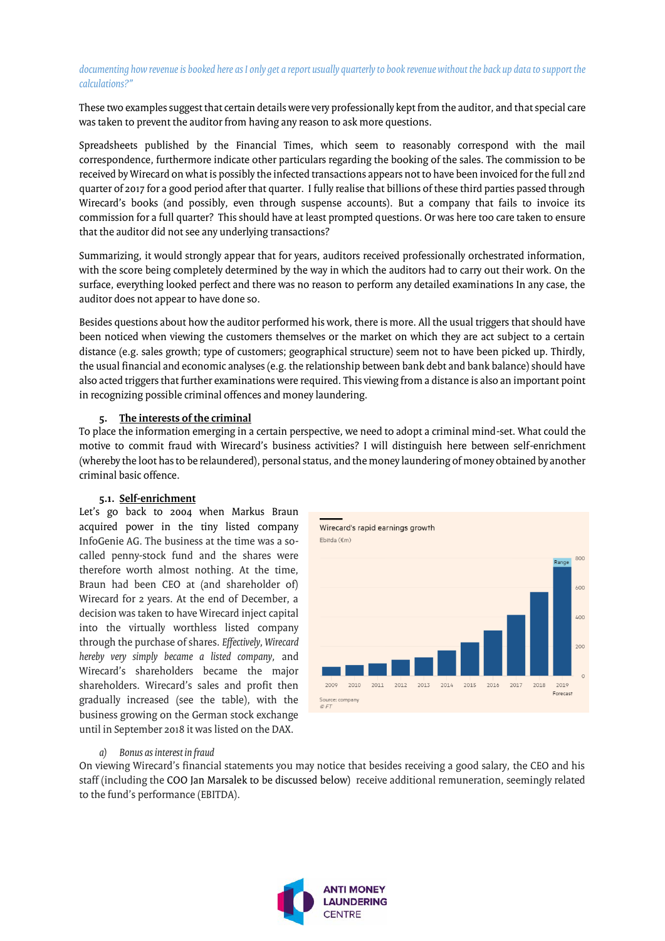#### *documenting how revenue is booked here as I only get a report usually quarterly to book revenue without the back up data to support the calculations?"*

These two examples suggest that certain details were very professionally kept from the auditor, and that special care was taken to prevent the auditor from having any reason to ask more questions.

Spreadsheets published by the Financial Times, which seem to reasonably correspond with the mail correspondence, furthermore indicate other particulars regarding the booking of the sales. The commission to be received by Wirecard on what is possibly the infected transactions appears not to have been invoiced for the full 2nd quarter of 2017 for a good period after that quarter. I fully realise that billions of these third parties passed through Wirecard's books (and possibly, even through suspense accounts). But a company that fails to invoice its commission for a full quarter? This should have at least prompted questions. Or was here too care taken to ensure that the auditor did not see any underlying transactions?

Summarizing, it would strongly appear that for years, auditors received professionally orchestrated information, with the score being completely determined by the way in which the auditors had to carry out their work. On the surface, everything looked perfect and there was no reason to perform any detailed examinations In any case, the auditor does not appear to have done so.

Besides questions about how the auditor performed his work, there is more. All the usual triggers that should have been noticed when viewing the customers themselves or the market on which they are act subject to a certain distance (e.g. sales growth; type of customers; geographical structure) seem not to have been picked up. Thirdly, the usual financial and economic analyses (e.g. the relationship between bank debt and bank balance) should have also acted triggers that further examinations were required. This viewing from a distance is also an important point in recognizing possible criminal offences and money laundering.

#### **5. The interests of the criminal**

To place the information emerging in a certain perspective, we need to adopt a criminal mind-set. What could the motive to commit fraud with Wirecard's business activities? I will distinguish here between self-enrichment (whereby the loot has to be relaundered), personal status, and the money laundering of money obtained by another criminal basic offence.

#### **5.1. Self-enrichment**

Let's go back to 2004 when Markus Braun acquired power in the tiny listed company InfoGenie AG. The business at the time was a socalled penny-stock fund and the shares were therefore worth almost nothing. At the time, Braun had been CEO at (and shareholder of) Wirecard for 2 years. At the end of December, a decision was taken to have Wirecard inject capital into the virtually worthless listed company through the purchase of shares. *Effectively, Wirecard hereby very simply became a listed company,* and Wirecard's shareholders became the major shareholders. Wirecard's sales and profit then gradually increased (see the table), with the business growing on the German stock exchange until in September 2018 it was listed on the DAX.



#### *a) Bonus as interest in fraud*

On viewing Wirecard's financial statements you may notice that besides receiving a good salary, the CEO and his staff (including the COO Jan Marsalek to be discussed below) receive additional remuneration, seemingly related to the fund's performance (EBITDA).

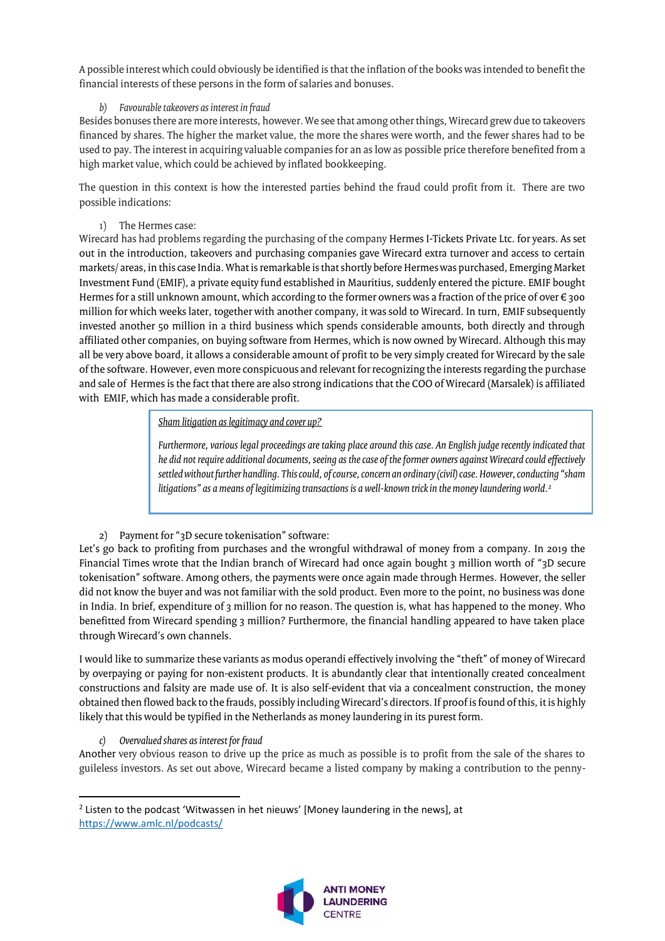A possible interest which could obviously be identified is that the inflation of the books was intended to benefit the financial interests of these persons in the form of salaries and bonuses.

#### *b) Favourable takeovers as interest in fraud*

Besides bonusesthere are more interests, however. We see that among other things, Wirecard grew due to takeovers financed by shares. The higher the market value, the more the shares were worth, and the fewer shares had to be used to pay. The interest in acquiring valuable companies for an as low as possible price therefore benefited from a high market value, which could be achieved by inflated bookkeeping.

The question in this context is how the interested parties behind the fraud could profit from it. There are two possible indications:

#### 1) The Hermes case:

Wirecard has had problems regarding the purchasing of the company Hermes I-Tickets Private Ltc. for years. As set out in the introduction, takeovers and purchasing companies gave Wirecard extra turnover and access to certain markets/ areas, in this case India. What is remarkable is that shortly before Hermes was purchased, Emerging Market Investment Fund (EMIF), a private equity fund established in Mauritius, suddenly entered the picture. EMIF bought Hermes for a still unknown amount, which according to the former owners was a fraction of the price of over  $\epsilon$  300 million for which weeks later, together with another company, it was sold to Wirecard. In turn, EMIF subsequently invested another 50 million in a third business which spends considerable amounts, both directly and through affiliated other companies, on buying software from Hermes, which is now owned by Wirecard. Although this may all be very above board, it allows a considerable amount of profit to be very simply created for Wirecard by the sale of the software. However, even more conspicuous and relevant for recognizing the interests regarding the purchase and sale of Hermes is the fact that there are also strong indications that the COO of Wirecard (Marsalek) is affiliated with EMIF, which has made a considerable profit.

*Sham litigation as legitimacy and cover up?*

*Furthermore, various legal proceedings are taking place around this case. An English judge recently indicated that he did not require additional documents, seeing as the case of the former owners against Wirecard could effectively settled without further handling. This could, of course, concern an ordinary (civil) case. However, conducting "sham*  litigations" as a means of legitimizing transactions is a well-known trick in the money laundering world.<sup>2</sup>

#### 2) Payment for "3D secure tokenisation" software:

Let's go back to profiting from purchases and the wrongful withdrawal of money from a company. In 2019 the Financial Times wrote that the Indian branch of Wirecard had once again bought 3 million worth of "3D secure tokenisation" software. Among others, the payments were once again made through Hermes. However, the seller did not know the buyer and was not familiar with the sold product. Even more to the point, no business was done in India. In brief, expenditure of 3 million for no reason. The question is, what has happened to the money. Who benefitted from Wirecard spending 3 million? Furthermore, the financial handling appeared to have taken place through Wirecard's own channels.

I would like to summarize these variants as modus operandi effectively involving the "theft" of money of Wirecard by overpaying or paying for non-existent products. It is abundantly clear that intentionally created concealment constructions and falsity are made use of. It is also self-evident that via a concealment construction, the money obtained then flowed back to the frauds, possibly including Wirecard's directors. If proof is found of this, it is highly likely that this would be typified in the Netherlands as money laundering in its purest form.

#### *c) Overvalued shares as interest for fraud*

 $\overline{a}$ 

Another very obvious reason to drive up the price as much as possible is to profit from the sale of the shares to guileless investors. As set out above, Wirecard became a listed company by making a contribution to the penny-

<sup>&</sup>lt;sup>2</sup> Listen to the podcast 'Witwassen in het nieuws' [Money laundering in the news], at <https://www.amlc.nl/podcasts/>

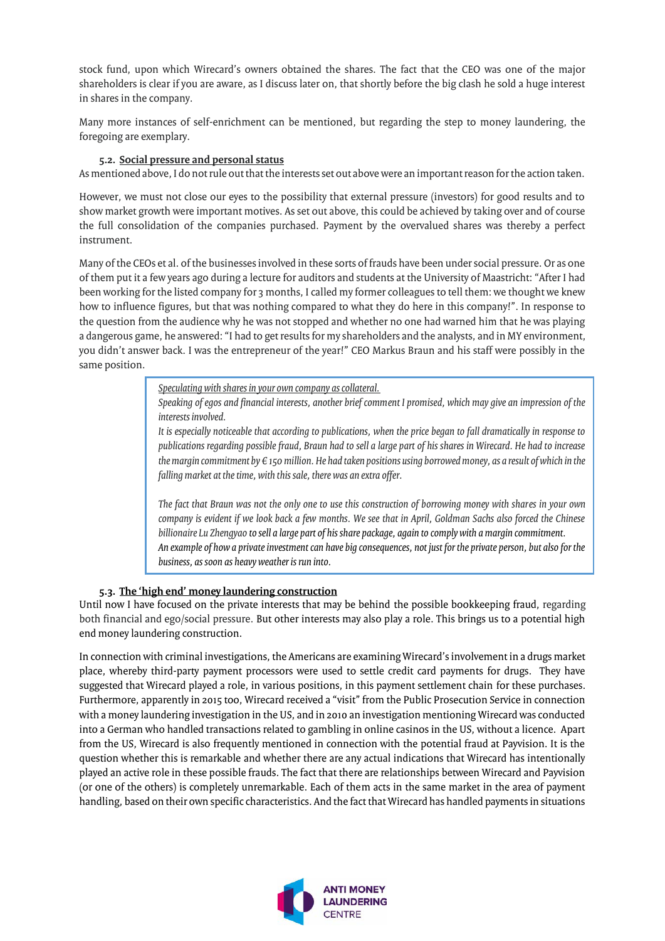stock fund, upon which Wirecard's owners obtained the shares. The fact that the CEO was one of the major shareholders is clear if you are aware, as I discuss later on, that shortly before the big clash he sold a huge interest in shares in the company.

Many more instances of self-enrichment can be mentioned, but regarding the step to money laundering, the foregoing are exemplary.

#### **5.2. Social pressure and personal status**

As mentioned above, I do not rule out that the interests set out above were an important reason for the action taken.

However, we must not close our eyes to the possibility that external pressure (investors) for good results and to show market growth were important motives. As set out above, this could be achieved by taking over and of course the full consolidation of the companies purchased. Payment by the overvalued shares was thereby a perfect instrument.

Many of the CEOs et al. of the businesses involved in these sorts of frauds have been under social pressure. Or as one of them put it a few years ago during a lecture for auditors and students at the University of Maastricht: "After I had been working for the listed company for 3 months, I called my former colleagues to tell them: we thought we knew how to influence figures, but that was nothing compared to what they do here in this company!". In response to the question from the audience why he was not stopped and whether no one had warned him that he was playing a dangerous game, he answered: "I had to get results for my shareholders and the analysts, and in MY environment, you didn't answer back. I was the entrepreneur of the year!" CEO Markus Braun and his staff were possibly in the same position.

*Speculating with shares in your own company as collateral.*

*Speaking of egos and financial interests, another brief comment I promised, which may give an impression of the interests involved.*

*It is especially noticeable that according to publications, when the price began to fall dramatically in response to publications regarding possible fraud, Braun had to sell a large part of his shares in Wirecard. He had to increase the margin commitment by € 150 million. He had taken positions using borrowed money, as a result of which in the falling market at the time, with this sale, there was an extra offer.* 

*The fact that Braun was not the only one to use this construction of borrowing money with shares in your own company is evident if we look back a few months. We see that in April, Goldman Sachs also forced the Chinese billionaire Lu Zhengyao to sell a large part of his share package, again to comply with a margin commitment. An example of how a private investment can have big consequences, not just for the private person, but also for the business, as soon as heavy weather is run into.*

#### **5.3. The 'high end' money laundering construction**

Until now I have focused on the private interests that may be behind the possible bookkeeping fraud, regarding both financial and ego/social pressure. But other interests may also play a role. This brings us to a potential high end money laundering construction.

In connection with criminal investigations, the Americans are examining Wirecard's involvement in a drugs market place, whereby third-party payment processors were used to settle credit card payments for drugs. They have suggested that Wirecard played a role, in various positions, in this payment settlement chain for these purchases. Furthermore, apparently in 2015 too, Wirecard received a "visit" from the Public Prosecution Service in connection with a money laundering investigation in the US, and in 2010 an investigation mentioning Wirecard was conducted into a German who handled transactions related to gambling in online casinos in the US, without a licence. Apart from the US, Wirecard is also frequently mentioned in connection with the potential fraud at Payvision. It is the question whether this is remarkable and whether there are any actual indications that Wirecard has intentionally played an active role in these possible frauds. The fact that there are relationships between Wirecard and Payvision (or one of the others) is completely unremarkable. Each of them acts in the same market in the area of payment handling, based on their own specific characteristics. And the fact that Wirecard has handled payments in situations

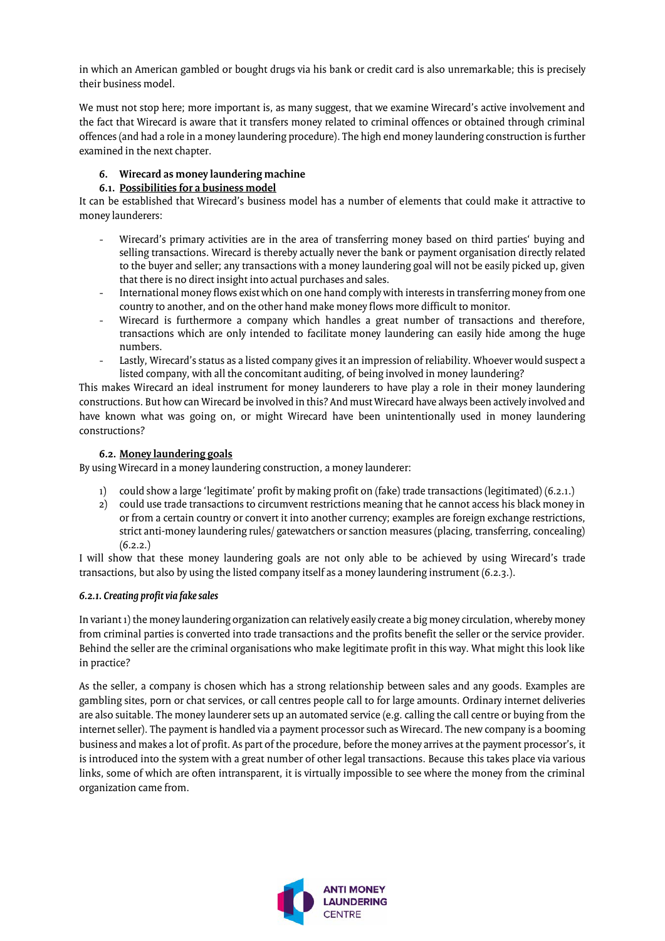in which an American gambled or bought drugs via his bank or credit card is also unremarkable; this is precisely their business model.

We must not stop here; more important is, as many suggest, that we examine Wirecard's active involvement and the fact that Wirecard is aware that it transfers money related to criminal offences or obtained through criminal offences (and had a role in a money laundering procedure). The high end money laundering construction is further examined in the next chapter.

#### **6. Wirecard as money laundering machine**

#### **6.1. Possibilities for a business model**

It can be established that Wirecard's business model has a number of elements that could make it attractive to money launderers:

- Wirecard's primary activities are in the area of transferring money based on third parties' buying and selling transactions. Wirecard is thereby actually never the bank or payment organisation directly related to the buyer and seller; any transactions with a money laundering goal will not be easily picked up, given that there is no direct insight into actual purchases and sales.
- International money flows exist which on one hand comply with interests in transferring money from one country to another, and on the other hand make money flows more difficult to monitor.
- Wirecard is furthermore a company which handles a great number of transactions and therefore,  $\omega_{\rm{max}}$ transactions which are only intended to facilitate money laundering can easily hide among the huge numbers.
- Lastly, Wirecard's status as a listed company gives it an impression of reliability. Whoever would suspect a listed company, with all the concomitant auditing, of being involved in money laundering?

This makes Wirecard an ideal instrument for money launderers to have play a role in their money laundering constructions. But how can Wirecard be involved in this? And must Wirecard have always been actively involved and have known what was going on, or might Wirecard have been unintentionally used in money laundering constructions?

#### **6.2. Money laundering goals**

By using Wirecard in a money laundering construction, a money launderer:

- 1) could show a large 'legitimate' profit by making profit on (fake) trade transactions (legitimated) (6.2.1.)
- 2) could use trade transactions to circumvent restrictions meaning that he cannot access his black money in or from a certain country or convert it into another currency; examples are foreign exchange restrictions, strict anti-money laundering rules/ gatewatchers or sanction measures (placing, transferring, concealing)  $(6.2.2.)$

I will show that these money laundering goals are not only able to be achieved by using Wirecard's trade transactions, but also by using the listed company itself as a money laundering instrument (6.2.3.).

#### *6.2.1. Creating profit via fake sales*

In variant 1) the money laundering organization can relatively easily create a big money circulation, whereby money from criminal parties is converted into trade transactions and the profits benefit the seller or the service provider. Behind the seller are the criminal organisations who make legitimate profit in this way. What might this look like in practice?

As the seller, a company is chosen which has a strong relationship between sales and any goods. Examples are gambling sites, porn or chat services, or call centres people call to for large amounts. Ordinary internet deliveries are also suitable. The money launderer sets up an automated service (e.g. calling the call centre or buying from the internet seller). The payment is handled via a payment processor such as Wirecard. The new company is a booming business and makes a lot of profit. As part of the procedure, before the money arrives at the payment processor's, it is introduced into the system with a great number of other legal transactions. Because this takes place via various links, some of which are often intransparent, it is virtually impossible to see where the money from the criminal organization came from.

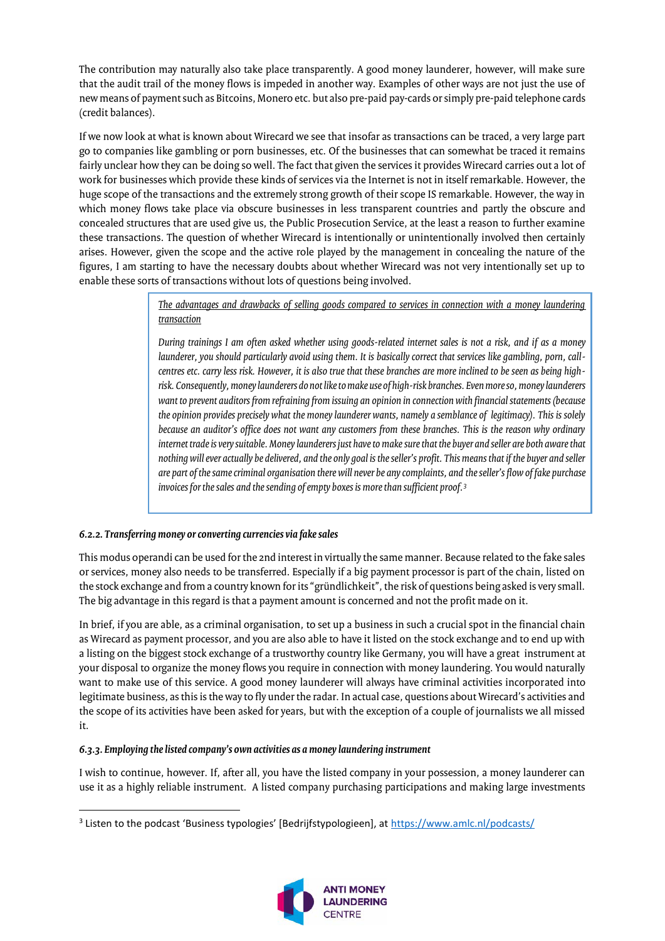The contribution may naturally also take place transparently. A good money launderer, however, will make sure that the audit trail of the money flows is impeded in another way. Examples of other ways are not just the use of new means of payment such as Bitcoins, Monero etc. but also pre-paid pay-cards or simply pre-paid telephone cards (credit balances).

If we now look at what is known about Wirecard we see that insofar as transactions can be traced, a very large part go to companies like gambling or porn businesses, etc. Of the businesses that can somewhat be traced it remains fairly unclear how they can be doing so well. The fact that given the services it provides Wirecard carries out a lot of work for businesses which provide these kinds of services via the Internet is not in itself remarkable. However, the huge scope of the transactions and the extremely strong growth of their scope IS remarkable. However, the way in which money flows take place via obscure businesses in less transparent countries and partly the obscure and concealed structures that are used give us, the Public Prosecution Service, at the least a reason to further examine these transactions. The question of whether Wirecard is intentionally or unintentionally involved then certainly arises. However, given the scope and the active role played by the management in concealing the nature of the figures, I am starting to have the necessary doubts about whether Wirecard was not very intentionally set up to enable these sorts of transactions without lots of questions being involved.

> *The advantages and drawbacks of selling goods compared to services in connection with a money laundering transaction*

> *During trainings I am often asked whether using goods-related internet sales is not a risk, and if as a money launderer, you should particularly avoid using them. It is basically correct that services like gambling, porn, callcentres etc. carry less risk. However, it is also true that these branches are more inclined to be seen as being highrisk. Consequently, money launderers do not like to make use of high-risk branches. Even more so, money launderers want to prevent auditors from refraining from issuing an opinion in connection with financial statements (because the opinion provides precisely what the money launderer wants, namely a semblance of legitimacy). This is solely because an auditor's office does not want any customers from these branches. This is the reason why ordinary internet trade is very suitable. Money launderers just have to make sure that the buyer and seller are both aware that nothing will ever actually be delivered, and the only goal is the seller's profit. This means that if the buyer and seller are part of the same criminal organisation there will never be any complaints, and the seller's flow of fake purchase invoices for the sales and the sending of empty boxes is more than sufficient proof.<sup>3</sup>*

#### *6.2.2. Transferring money or converting currencies via fake sales*

 $\overline{\phantom{a}}$ 

This modus operandi can be used for the 2nd interest in virtually the same manner. Because related to the fake sales or services, money also needs to be transferred. Especially if a big payment processor is part of the chain, listed on the stock exchange and from a country known for its "gründlichkeit", the risk of questions being asked is very small. The big advantage in this regard is that a payment amount is concerned and not the profit made on it.

In brief, if you are able, as a criminal organisation, to set up a business in such a crucial spot in the financial chain as Wirecard as payment processor, and you are also able to have it listed on the stock exchange and to end up with a listing on the biggest stock exchange of a trustworthy country like Germany, you will have a great instrument at your disposal to organize the money flows you require in connection with money laundering. You would naturally want to make use of this service. A good money launderer will always have criminal activities incorporated into legitimate business, as this is the way to fly under the radar. In actual case, questions about Wirecard's activities and the scope of its activities have been asked for years, but with the exception of a couple of journalists we all missed it.

#### *6.3.3. Employing the listed company's own activities as a money laundering instrument*

I wish to continue, however. If, after all, you have the listed company in your possession, a money launderer can use it as a highly reliable instrument. A listed company purchasing participations and making large investments

<sup>&</sup>lt;sup>3</sup> Listen to the podcast 'Business typologies' [Bedrijfstypologieen], at <https://www.amlc.nl/podcasts/>

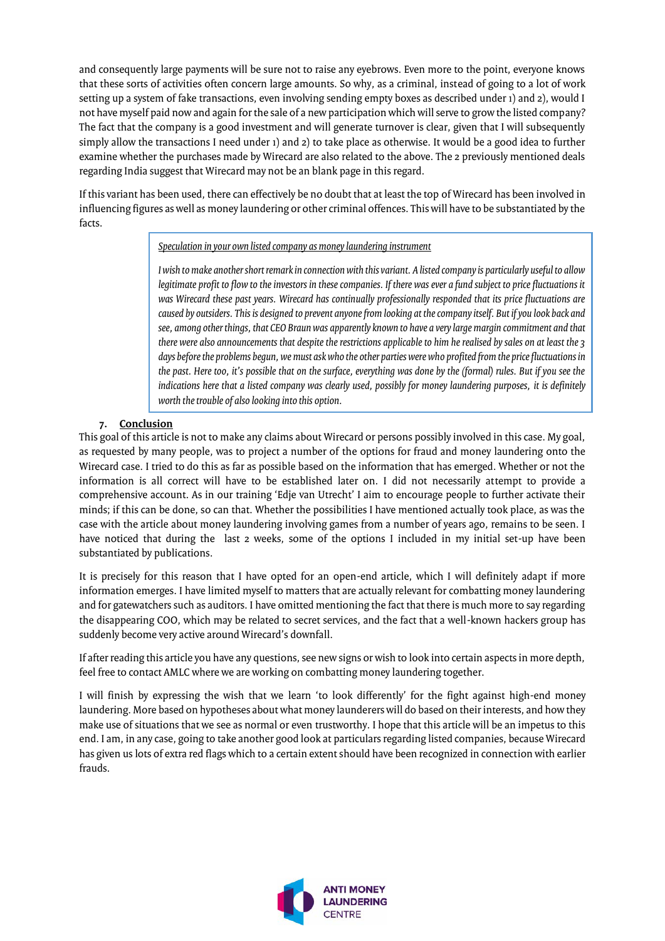and consequently large payments will be sure not to raise any eyebrows. Even more to the point, everyone knows that these sorts of activities often concern large amounts. So why, as a criminal, instead of going to a lot of work setting up a system of fake transactions, even involving sending empty boxes as described under 1) and 2), would I not have myself paid now and again for the sale of a new participation which will serve to grow the listed company? The fact that the company is a good investment and will generate turnover is clear, given that I will subsequently simply allow the transactions I need under 1) and 2) to take place as otherwise. It would be a good idea to further examine whether the purchases made by Wirecard are also related to the above. The 2 previously mentioned deals regarding India suggest that Wirecard may not be an blank page in this regard.

If this variant has been used, there can effectively be no doubt that at least the top of Wirecard has been involved in influencing figures as well as money laundering or other criminal offences. This will have to be substantiated by the facts.

#### *Speculation in your own listed company as money laundering instrument*

*I wish to make another short remark in connection with this variant. A listed company is particularly useful to allow legitimate profit to flow to the investors in these companies. If there was ever a fund subject to price fluctuations it was Wirecard these past years. Wirecard has continually professionally responded that its price fluctuations are caused by outsiders. This is designed to prevent anyone from looking at the company itself. But if you look back and see, among other things, that CEO Braun was apparently known to have a very large margin commitment and that there were also announcements that despite the restrictions applicable to him he realised by sales on at least the 3 days before the problems begun, we must ask who the other parties were who profited from the price fluctuations in the past. Here too, it's possible that on the surface, everything was done by the (formal) rules. But if you see the indications here that a listed company was clearly used, possibly for money laundering purposes, it is definitely worth the trouble of also looking into this option.*

#### **7. Conclusion**

This goal of this article is not to make any claims about Wirecard or persons possibly involved in this case. My goal, as requested by many people, was to project a number of the options for fraud and money laundering onto the Wirecard case. I tried to do this as far as possible based on the information that has emerged. Whether or not the information is all correct will have to be established later on. I did not necessarily attempt to provide a comprehensive account. As in our training 'Edje van Utrecht' I aim to encourage people to further activate their minds; if this can be done, so can that. Whether the possibilities I have mentioned actually took place, as was the case with the article about money laundering involving games from a number of years ago, remains to be seen. I have noticed that during the last 2 weeks, some of the options I included in my initial set-up have been substantiated by publications.

It is precisely for this reason that I have opted for an open-end article, which I will definitely adapt if more information emerges. I have limited myself to matters that are actually relevant for combatting money laundering and for gatewatchers such as auditors. I have omitted mentioning the fact that there is much more to say regarding the disappearing COO, which may be related to secret services, and the fact that a well-known hackers group has suddenly become very active around Wirecard's downfall.

If after reading this article you have any questions, see new signs or wish to look into certain aspects in more depth, feel free to contact AMLC where we are working on combatting money laundering together.

I will finish by expressing the wish that we learn 'to look differently' for the fight against high-end money laundering. More based on hypotheses about what money launderers will do based on their interests, and how they make use of situations that we see as normal or even trustworthy. I hope that this article will be an impetus to this end. I am, in any case, going to take another good look at particulars regarding listed companies, because Wirecard has given us lots of extra red flags which to a certain extent should have been recognized in connection with earlier frauds.

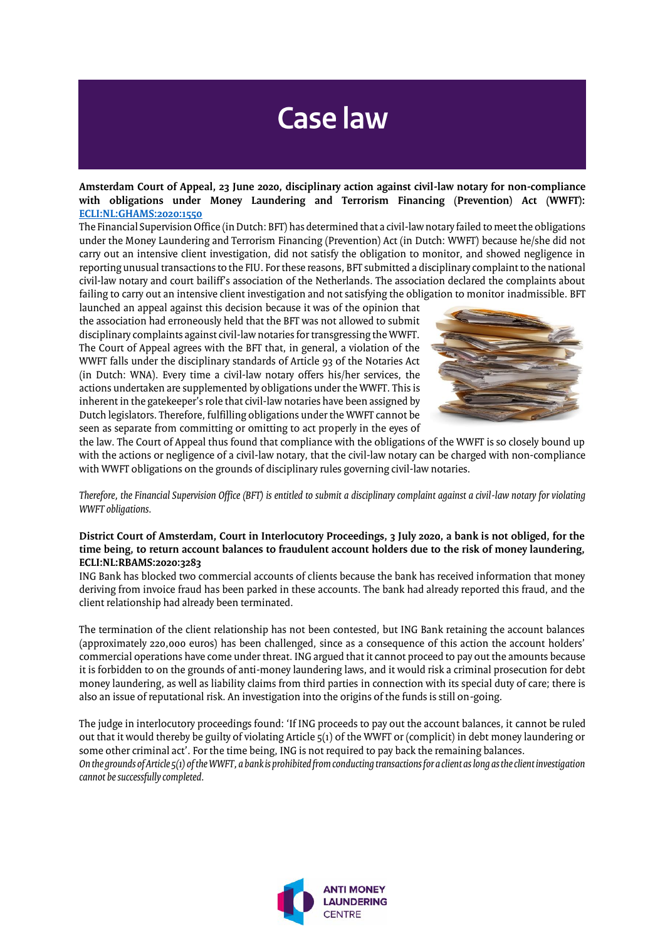### **Case law**

**Amsterdam Court of Appeal, 23 June 2020, disciplinary action against civil-law notary for non-compliance with obligations under Money Laundering and Terrorism Financing (Prevention) Act (WWFT): [ECLI:NL:GHAMS:2020:1550](https://www.rijksoverheid.nl/documenten/kamerstukken/2020/07/03/aanbiedingsbrief-voortgang-plan-van-aanpak-witwassen)**

The Financial Supervision Office (in Dutch: BFT) has determined that a civil-law notary failed to meet the obligations under the Money Laundering and Terrorism Financing (Prevention) Act (in Dutch: WWFT) because he/she did not carry out an intensive client investigation, did not satisfy the obligation to monitor, and showed negligence in reporting unusual transactions to the FIU. For these reasons, BFT submitted a disciplinary complaint to the national civil-law notary and court bailiff's association of the Netherlands. The association declared the complaints about failing to carry out an intensive client investigation and not satisfying the obligation to monitor inadmissible. BFT

launched an appeal against this decision because it was of the opinion that the association had erroneously held that the BFT was not allowed to submit disciplinary complaints against civil-law notaries for transgressing the WWFT. The Court of Appeal agrees with the BFT that, in general, a violation of the WWFT falls under the disciplinary standards of Article 93 of the Notaries Act (in Dutch: WNA). Every time a civil-law notary offers his/her services, the actions undertaken are supplemented by obligations under the WWFT. This is inherent in the gatekeeper's role that civil-law notaries have been assigned by Dutch legislators. Therefore, fulfilling obligations under the WWFT cannot be seen as separate from committing or omitting to act properly in the eyes of



the law. The Court of Appeal thus found that compliance with the obligations of the WWFT is so closely bound up with the actions or negligence of a civil-law notary, that the civil-law notary can be charged with non-compliance with WWFT obligations on the grounds of disciplinary rules governing civil-law notaries.

*Therefore, the Financial Supervision Office (BFT) is entitled to submit a disciplinary complaint against a civil-law notary for violating WWFT obligations.*

#### **District Court of Amsterdam, Court in Interlocutory Proceedings, 3 July 2020, a bank is not obliged, for the time being, to return account balances to fraudulent account holders due to the risk of money laundering, ECLI:NL:RBAMS:2020:3283**

ING Bank has blocked two commercial accounts of clients because the bank has received information that money deriving from invoice fraud has been parked in these accounts. The bank had already reported this fraud, and the client relationship had already been terminated.

The termination of the client relationship has not been contested, but ING Bank retaining the account balances (approximately 220,000 euros) has been challenged, since as a consequence of this action the account holders' commercial operations have come under threat. ING argued that it cannot proceed to pay out the amounts because it is forbidden to on the grounds of anti-money laundering laws, and it would risk a criminal prosecution for debt money laundering, as well as liability claims from third parties in connection with its special duty of care; there is also an issue of reputational risk. An investigation into the origins of the funds is still on-going.

The judge in interlocutory proceedings found: 'If ING proceeds to pay out the account balances, it cannot be ruled out that it would thereby be guilty of violating Article 5(1) of the WWFT or (complicit) in debt money laundering or some other criminal act'. For the time being, ING is not required to pay back the remaining balances. *On the grounds of Article 5(1) of the WWFT, a bank is prohibited from conducting transactions for a client as long as the client investigation cannot be successfully completed.*